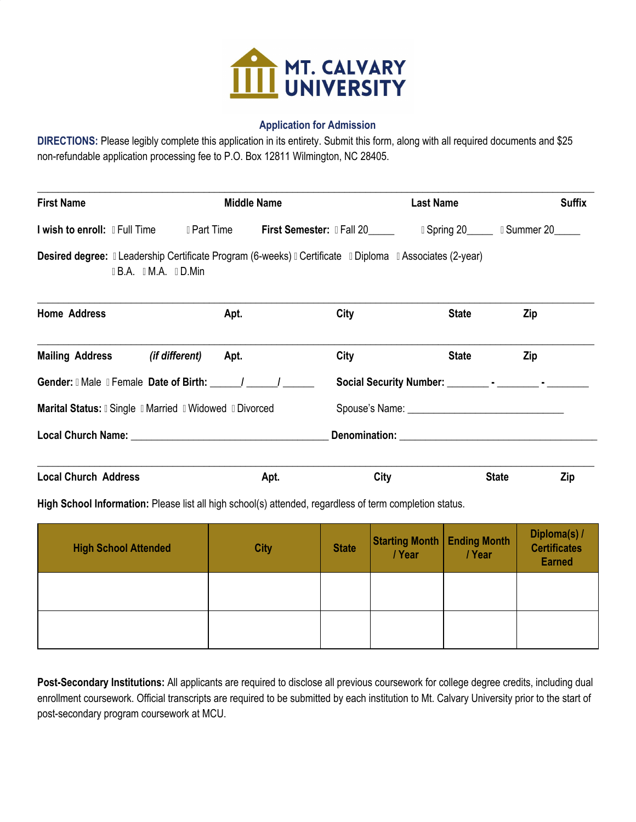

### **Application for Admission**

**DIRECTIONS:** Please legibly complete this application in its entirety. Submit this form, along with all required documents and \$25 non-refundable application processing fee to P.O. Box 12811 Wilmington, NC 28405.

| <b>First Name</b>             |                                                     |             | Middle Name                                                                                                  | Last Name | <b>Suffix</b>       |
|-------------------------------|-----------------------------------------------------|-------------|--------------------------------------------------------------------------------------------------------------|-----------|---------------------|
| I wish to enroll: I Full Time |                                                     | I Part Time | <b>First Semester: IFall 20</b>                                                                              |           | Spring 20 Summer 20 |
|                               | $\parallel$ B.A. $\parallel$ M.A. $\parallel$ D.Min |             | Desired degree: Il Leadership Certificate Program (6-weeks) Il Certificate Il Diploma Il Associates (2-year) |           |                     |

| <b>Home Address</b>                          |                                                                | Apt. | City | <b>State</b> | Zip          |     |  |
|----------------------------------------------|----------------------------------------------------------------|------|------|--------------|--------------|-----|--|
| <b>Mailing Address</b>                       | (if different)                                                 | Apt. | City | <b>State</b> | Zip          |     |  |
| Gender: I Male I Female Date of Birth: / / / |                                                                |      |      |              |              |     |  |
|                                              | <b>Marital Status: I Single I Married I Widowed I Divorced</b> |      |      |              |              |     |  |
|                                              |                                                                |      |      |              |              |     |  |
| <b>Local Church Address</b>                  |                                                                | Apt. | City |              | <b>State</b> | Zip |  |

**High School Information:** Please list all high school(s) attended, regardless of term completion status.

| <b>High School Attended</b> | <b>City</b> | <b>State</b> | <b>Starting Month   Ending Month</b><br>/Year | /Year | Diploma(s) /<br><b>Certificates</b><br><b>Earned</b> |
|-----------------------------|-------------|--------------|-----------------------------------------------|-------|------------------------------------------------------|
|                             |             |              |                                               |       |                                                      |
|                             |             |              |                                               |       |                                                      |

**Post-Secondary Institutions:** All applicants are required to disclose all previous coursework for college degree credits, including dual enrollment coursework. Official transcripts are required to be submitted by each institution to Mt. Calvary University prior to the start of post-secondary program coursework at MCU.